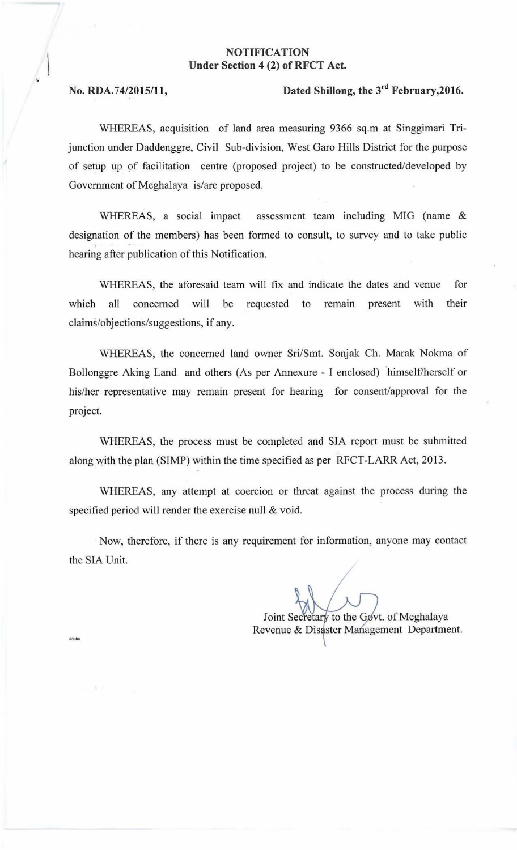## NOTIFICATION Under Section 4 (2) of RFCT Act.

## No. RDA.74/2015/11, Dated Shillong, the  $3<sup>rd</sup>$  February, 2016.

WHEREAS, acquisition of land area measuring 9366 sq.m at Singgimari Trijunction under Daddenggre, Civil Sub-division, West Garo Hills District for the purpose of setup up of facilitation centre (proposed project) to be constructed/developed by Government of Meghalaya is/are proposed.

WHEREAS, a social impact assessment team including MIG (name & designation of the members) has been formed to consult, to survey and to take public hearing after publication of this Notification.

WHEREAS, the aforesaid team will fix and indicate the dates and venue for which all concerned will be requested to remain present with their claims/objections/suggestions, if any.

WHEREAS, the concerned land owner Sri/Smt. Sonjak Ch. Marak Nokma of Bollonggre Aking Land and others (As per Annexure - I enclosed) 'himself/herself or his/her representative may remain present for hearing for consent/approval for the project.

WHEREAS, the process must be completed and SIA report must be submitted along with the plan (SIMP) within the time specified as per RFCT-LARR Act, 2013.

WHEREAS, any attempt at coercion or threat against the process during the specified period will render the exercise null & void.

Now, therefore, if there is any requirement for information, anyone may contact the SIA Unit.

Joint Secretary to the Govt. of Meghalaya Revenue & Disaster Management Department.